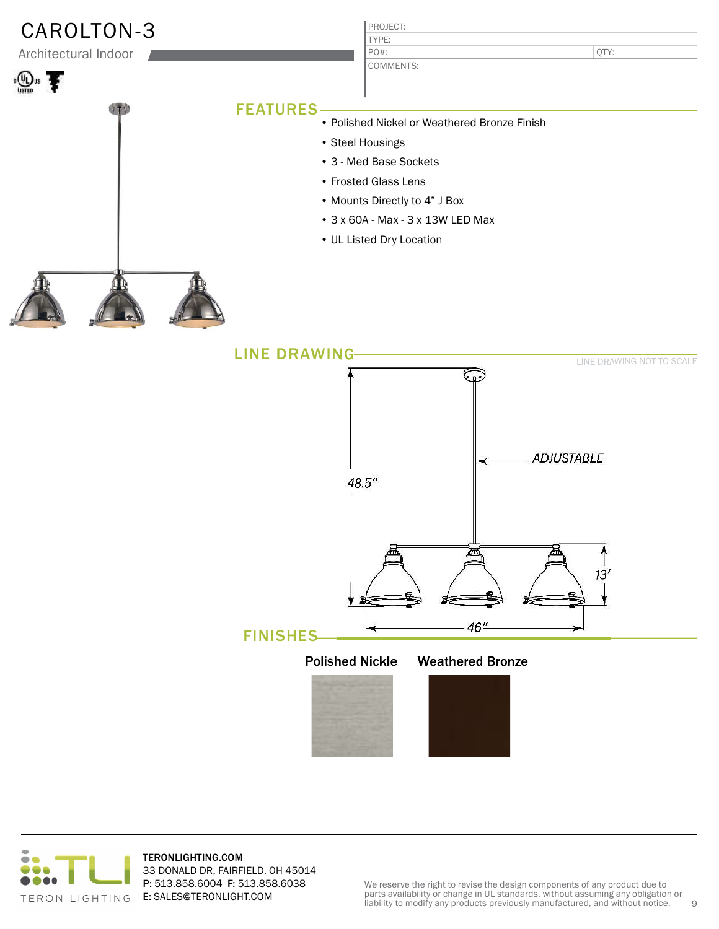| CAROLTON-3           |                      | PROJECT:                                     |                           |  |
|----------------------|----------------------|----------------------------------------------|---------------------------|--|
| Architectural Indoor |                      | TYPE:<br>PO#:                                | QTY:                      |  |
|                      |                      | COMMENTS:                                    |                           |  |
|                      |                      |                                              |                           |  |
|                      | <b>FEATURES</b>      | • Polished Nickel or Weathered Bronze Finish |                           |  |
|                      |                      |                                              |                           |  |
|                      |                      | • Steel Housings                             |                           |  |
|                      |                      | • 3 - Med Base Sockets                       |                           |  |
|                      |                      | • Frosted Glass Lens                         |                           |  |
|                      |                      | • Mounts Directly to 4" J Box                |                           |  |
|                      |                      | • 3 x 60A - Max - 3 x 13W LED Max            |                           |  |
|                      |                      | • UL Listed Dry Location                     |                           |  |
|                      |                      |                                              |                           |  |
|                      |                      |                                              |                           |  |
|                      | <b>LINE DRAWING-</b> |                                              |                           |  |
|                      |                      |                                              | LINE DRAWING NOT TO SCALE |  |
|                      |                      | 0.09                                         |                           |  |
|                      |                      |                                              |                           |  |
|                      |                      |                                              | <b>ADJUSTABLE</b>         |  |
|                      |                      | 48.5"                                        |                           |  |
|                      |                      |                                              |                           |  |



TERONLIGHTING.COM 33 DONALD DR, FAIRFIELD, OH 45014 P: 513.858.6004 F: 513.858.6038 E: SALES@TERONLIGHT.COM

FINISHES

Polished Nickle Weathered Bronze

灬

46"

孟

 $13<sup>′</sup>$